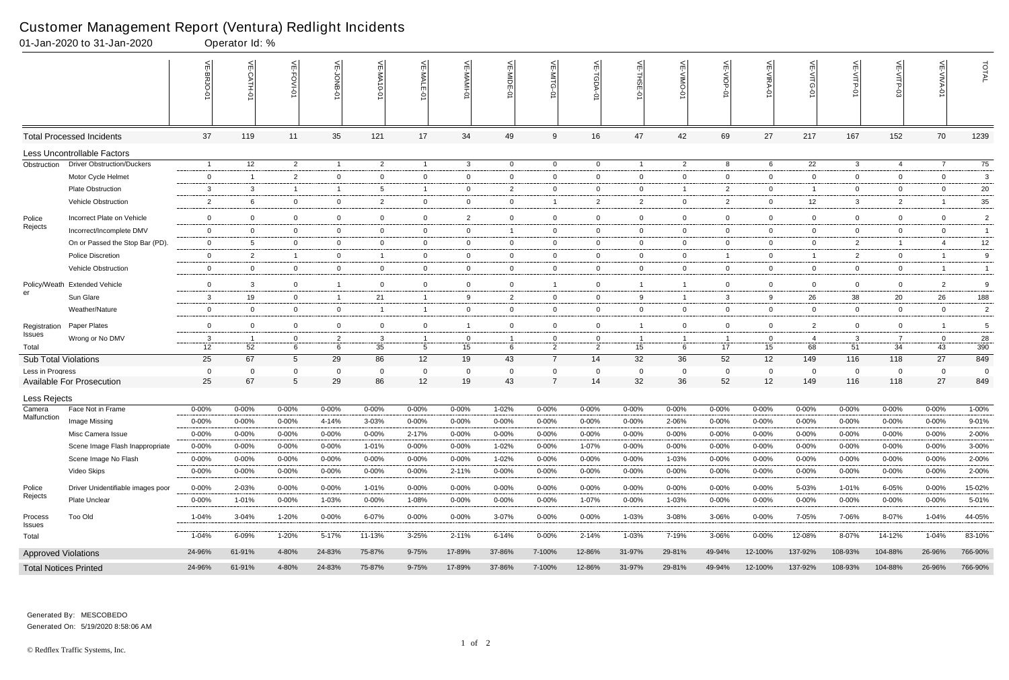#### Customer Management Report (Ventura) Redlight Incidents

|                            | 01-Jan-2020 to 31-Jan-2020        |                | Operator Id: % |                 |                   |                |                |                |                |                               |                   |                         |                |                      |                |                       |                |                         |                   |                |
|----------------------------|-----------------------------------|----------------|----------------|-----------------|-------------------|----------------|----------------|----------------|----------------|-------------------------------|-------------------|-------------------------|----------------|----------------------|----------------|-----------------------|----------------|-------------------------|-------------------|----------------|
|                            |                                   |                | $\leq$         | اٺ<br>FOVI-01   | 녽                 | 닞<br>$-0-0$    | VE-MALE        |                | VE-MIDE-01     | VE-MITG-<br>$\dot{\varphi}$   | VE-TGDA-0         | VE-THSE-01              | VE-VIMO-01     | VE-VIOP-01           | VE-VIRA-01     | ے<br><b>NITG</b><br>Ò | VE-VITP-01     | <b>SD-41IV</b>          | 늦                 | TOTAL          |
|                            | <b>Total Processed Incidents</b>  | 37             | 119            | 11              | 35                | 121            | 17             | 34             | 49             | 9                             | 16                | 47                      | 42             | 69                   | 27             | 217                   | 167            | 152                     | 70                | 1239           |
|                            | Less Uncontrollable Factors       |                |                |                 |                   |                |                |                |                |                               |                   |                         |                |                      |                |                       |                |                         |                   |                |
| Obstruction                | <b>Driver Obstruction/Duckers</b> | - 1            | 12             | $\overline{2}$  | $\overline{1}$    | $\overline{2}$ | $\overline{1}$ | $\mathbf{3}$   | $\overline{0}$ | $\overline{0}$                | $\overline{0}$    | $\overline{1}$          | $\overline{2}$ | 8                    | 6              | $\overline{22}$       | $\mathbf{3}$   | 4                       | $\overline{7}$    | 75             |
|                            | Motor Cycle Helmet                | $\mathbf 0$    | -1             | $\overline{2}$  | $\mathbf 0$       | 0              | $\mathbf{0}$   | $\overline{0}$ | $\mathbf 0$    | 0                             | 0                 | $\overline{0}$          | $\mathbf{0}$   | $\overline{0}$       | $\overline{0}$ | 0                     | $\overline{0}$ | $\mathbf 0$             | $\overline{0}$    | 3              |
|                            | <b>Plate Obstruction</b>          | 3              | 3              | $\overline{1}$  | $\overline{1}$    | 5              |                | $\overline{0}$ | $\overline{2}$ | $\mathbf{0}$                  | 0                 | $\overline{0}$          | 1              | $\overline{2}$       | $\mathbf 0$    | -1                    | $\overline{0}$ | $\mathbf 0$             | $\mathbf 0$       | 20             |
|                            | Vehicle Obstruction               | $\overline{2}$ |                | $\overline{0}$  | $\mathbf 0$       | $\overline{2}$ | $\mathbf{0}$   | $\mathbf 0$    | $\mathbf 0$    |                               | $\overline{2}$    | $\overline{2}$          | $\mathbf{0}$   | $\overline{2}$       | $\overline{0}$ | 12                    | 3              | $\overline{2}$          |                   | 35             |
| Police                     | Incorrect Plate on Vehicle        | $\mathbf 0$    | $\Omega$       | $\mathbf 0$     | $\mathbf 0$       | 0              | $\mathbf{0}$   | $\overline{2}$ | $\mathbf 0$    | $\mathbf 0$                   | $\overline{0}$    | $\overline{0}$          | $\mathbf 0$    | $\overline{0}$       | $\mathbf 0$    | $\mathbf 0$           | $\mathbf 0$    | $\mathbf 0$             | $\mathbf 0$       | $\overline{2}$ |
| Rejects                    | Incorrect/Incomplete DMV          | $\mathbf 0$    | $\overline{0}$ | $\overline{0}$  | $\overline{0}$    | 0              | $\mathbf{0}$   | $\overline{0}$ |                | $\mathbf{0}$                  | 0                 | $\overline{0}$          | $\mathbf{0}$   | $\overline{0}$       | $\mathbf 0$    | $\mathbf 0$           | $\mathbf{0}$   | $\mathbf 0$             | $\mathbf 0$       | $\mathbf{1}$   |
|                            | On or Passed the Stop Bar (PD).   | $\overline{0}$ |                | $\mathbf 0$     | $\mathbf 0$       | 0              | $\mathbf{0}$   | $\mathbf 0$    | 0              | $\mathbf 0$                   | 0                 | $\overline{0}$          | $\mathbf{0}$   | $\mathbf 0$          | $\overline{0}$ | $\mathbf 0$           | $\overline{2}$ | $\overline{\mathbf{1}}$ | $\overline{4}$    | 12             |
|                            | <b>Police Discretion</b>          | $\overline{0}$ | $\overline{2}$ | $\overline{1}$  | $\overline{0}$    | - 1            | $\mathbf{0}$   | $\overline{0}$ | $\mathbf 0$    | $\overline{0}$                | 0                 | $\overline{0}$          | $\mathbf{0}$   | $\overline{1}$       | $\overline{0}$ | -1                    | $\overline{2}$ | $\mathbf{0}$            | - 1               | 9              |
|                            | <b>Vehicle Obstruction</b>        | $\overline{0}$ | $\overline{0}$ | $\overline{0}$  | $\mathbf 0$       | $\overline{0}$ | $\mathbf{0}$   | $\overline{0}$ | $\mathbf{0}$   | $\overline{0}$                | $\mathbf{0}$      | $\overline{0}$          | $\overline{0}$ | $\overline{0}$       | $\overline{0}$ | $\mathbf 0$           | $\overline{0}$ | $\mathbf 0$             | -1                | $\mathbf{1}$   |
| Policy/Weath<br>er         | <b>Extended Vehicle</b>           | $\overline{0}$ | 3              | $\overline{0}$  | $\overline{1}$    | $\mathbf 0$    | $\overline{0}$ | $\overline{0}$ | $\mathbf 0$    |                               | $\mathbf 0$       | $\overline{\mathbf{1}}$ | $\mathbf{1}$   | $\overline{0}$       | $\overline{0}$ | $\overline{0}$        | $\overline{0}$ | $\mathbf 0$             | $\overline{2}$    | 9              |
|                            | Sun Glare                         | $\mathbf{3}$   | 19             | $\overline{0}$  | $\overline{1}$    | 21             | $\mathbf{1}$   | 9              | $\overline{2}$ | $\overline{0}$                | $\mathbf 0$       | 9                       |                | $\mathbf{3}$         | 9              | 26                    | 38             | 20                      | 26                | 188            |
|                            | Weather/Nature                    | $\overline{0}$ | 0              | $\overline{0}$  | $\overline{0}$    | -1             | $\mathbf{1}$   | $\overline{0}$ | $\mathbf 0$    | $\mathbf{0}$                  | 0                 | $\overline{0}$          | $\mathbf{0}$   | $\overline{0}$       | $\overline{0}$ | $\overline{0}$        | $\overline{0}$ | $\mathbf 0$             | $\overline{0}$    | $\overline{2}$ |
| Registration               | Paper Plates                      | $\overline{0}$ | $\Omega$       | $\overline{0}$  | $\overline{0}$    | $\mathbf 0$    | $\overline{0}$ | $\overline{1}$ | $\mathbf 0$    | $\overline{0}$                | $\mathbf 0$       | $\overline{1}$          | $\mathbf{0}$   | $\overline{0}$       | $\overline{0}$ | $\overline{2}$        | $\overline{0}$ | $\mathbf 0$             |                   | 5              |
| Issues                     | Wrong or No DMV                   | 3              |                | 0               | $\overline{2}$    | 3              |                | $\overline{0}$ |                | 0                             | 0                 |                         |                | $\mathbf{1}$         | 0              | 4                     | 3              | -7                      | $\Omega$          | 28             |
| Total                      |                                   | 12             | 52             | 6               | 6                 | 35             | 5              | 15             | 6              | 2                             | 2                 | 15                      | 6              | 17                   | 15             | 68                    | 51             | 34                      | 43                | 390            |
| Sub Total Violations       |                                   | 25             | 67             | $5\overline{)}$ | 29                | 86             | 12             | 19             | 43             | $\overline{7}$                | 14                | 32                      | 36             | 52                   | 12             | 149                   | 116            | 118                     | 27                | 849            |
| Less in Progress           | <b>Available For Prosecution</b>  | 0<br>25        | $\Omega$<br>67 | $\Omega$<br>5   | $\mathbf 0$<br>29 | $\Omega$<br>86 | $\Omega$<br>12 | 0<br>19        | -0<br>43       | $\mathbf 0$<br>$\overline{7}$ | $\mathbf 0$<br>14 | $\overline{0}$<br>32    | 0<br>36        | $\overline{0}$<br>52 | $\Omega$<br>12 | $\mathbf 0$<br>149    | 0<br>116       | $\mathbf 0$<br>118      | $\mathbf 0$<br>27 | 0<br>849       |
|                            |                                   |                |                |                 |                   |                |                |                |                |                               |                   |                         |                |                      |                |                       |                |                         |                   |                |
| Less Rejects<br>Camera     | Face Not in Frame                 | $0 - 00%$      | 0-00%          | $0 - 00%$       | $0 - 00%$         | $0 - 00%$      | $0 - 00\%$     | $0 - 00%$      | 1-02%          | $0 - 00%$                     | $0 - 00%$         | $0 - 00%$               | $0 - 00%$      | $0 - 00%$            | $0 - 00%$      | 0-00%                 | 0-00%          | 0-00%                   | $0 - 00%$         | 1-00%          |
| Malfunction                | Image Missing                     | $0 - 00%$      | 0-00%          | $0 - 00\%$      | 4-14%             | 3-03%          | $0 - 00\%$     | $0 - 00%$      | $0 - 00%$      | $0 - 00%$                     | $0 - 00%$         | $0 - 00%$               | 2-06%          | $0 - 00%$            | $0 - 00\%$     | $0 - 00%$             | 0-00%          | $0 - 00\%$              | $0 - 00\%$        | $9 - 01%$      |
|                            | Misc Camera Issue                 | $0 - 00%$      | 0-00%          | $0 - 00%$       | 0-00%             | $0 - 00%$      | $2 - 17%$      | $0 - 00%$      | 0-00%          | $0 - 00%$                     | 0-00%             | $0 - 00%$               | $0 - 00%$      | $0 - 00%$            | 0-00%          | 0-00%                 | 0-00%          | $0 - 00%$               | $0 - 00%$         | 2-00%          |
|                            | Scene Image Flash Inappropriate   | $0 - 00%$      | $0 - 00%$      | $0 - 00\%$      | $0 - 00%$         | 1-01%          | $0 - 00\%$     | $0 - 00%$      | 1-02%          | $0 - 00%$                     | 1-07%             | $0 - 00%$               | $0 - 00%$      | $0 - 00\%$           | $0 - 00\%$     | 0-00%                 | 0-00%          | $0 - 00%$               | $0 - 00%$         | 3-00%          |
|                            | Scene Image No Flash              | $0 - 00%$      | $0 - 00%$      | $0 - 00%$       | $0 - 00%$         | $0 - 00%$      | $0 - 00%$      | $0 - 00%$      | $1 - 02%$      | $0 - 00%$                     | 0-00%             | $0 - 00%$               | 1-03%          | $0 - 00%$            | 0-00%          | $0 - 00%$             | 0-00%          | $0 - 00%$               | $0 - 00%$         | 2-00%          |
|                            | Video Skips                       | $0 - 00%$      | $0 - 00%$      | $0 - 00\%$      | $0 - 00%$         | $0 - 00\%$     | $0 - 00\%$     | 2-11%          | $0 - 00\%$     | $0 - 00%$                     | $0 - 00\%$        | $0 - 00%$               | $0 - 00%$      | $0 - 00\%$           | $0 - 00\%$     | $0 - 00%$             | 0-00%          | $0 - 00%$               | $0 - 00\%$        | 2-00%          |
| Police                     | Driver Unidentifiable images poor | 0-00%          | 2-03%          | $0 - 00%$       | $0 - 00%$         | 1-01%          | $0 - 00\%$     | $0 - 00%$      | $0 - 00%$      | $0 - 00\%$                    | $0 - 00\%$        | $0 - 00%$               | $0 - 00%$      | $0 - 00\%$           | $0 - 00\%$     | 5-03%                 | 1-01%          | 6-05%                   | $0 - 00%$         | 15-02%         |
| Rejects                    | Plate Unclear                     | $0 - 00\%$     | 1-01%          | $0 - 00\%$      | 1-03%             | 0-00%          | 1-08%          | 0-00%          | $0 - 00%$      | $0 - 00\%$                    | 1-07%             | $0 - 00%$               | 1-03%          | 0-00%                | $0 - 00%$      | $0 - 00%$             | $0 - 00\%$     | 0-00%                   | $0 - 00\%$        | 5-01%          |
| Process<br><b>Issues</b>   | <b>Too Old</b>                    | 1-04%          | $3 - 04%$      | $1 - 20%$       | $0 - 00%$         | 6-07%          | $0 - 00\%$     | $0 - 00\%$     | 3-07%          | $0 - 00\%$                    | $0 - 00\%$        | 1-03%                   | $3 - 08%$      | 3-06%                | $0 - 00\%$     | 7-05%                 | 7-06%          | 8-07%                   | $1 - 04%$         | 44-05%         |
| Total                      |                                   | 1-04%          | 6-09%          | 1-20%           | 5-17%             | 11-13%         | $3 - 25%$      | $2 - 11%$      | $6 - 14%$      | $0 - 00\%$                    | $2 - 14%$         | 1-03%                   | 7-19%          | 3-06%                | $0 - 00\%$     | 12-08%                | 8-07%          | 14-12%                  | $1 - 04%$         | 83-10%         |
| <b>Approved Violations</b> |                                   | 24-96%         | 61-91%         | 4-80%           | 24-83%            | 75-87%         | $9 - 75%$      | 17-89%         | 37-86%         | 7-100%                        | 12-86%            | 31-97%                  | 29-81%         | 49-94%               | 12-100%        | 137-92%               | 108-93%        | 104-88%                 | 26-96%            | 766-90%        |
|                            | <b>Total Notices Printed</b>      | 24-96%         | 61-91%         | 4-80%           | 24-83%            | 75-87%         | $9 - 75%$      | 17-89%         | 37-86%         | 7-100%                        | 12-86%            | 31-97%                  | 29-81%         | 49-94%               | 12-100%        | 137-92%               | 108-93%        | 104-88%                 | 26-96%            | 766-90%        |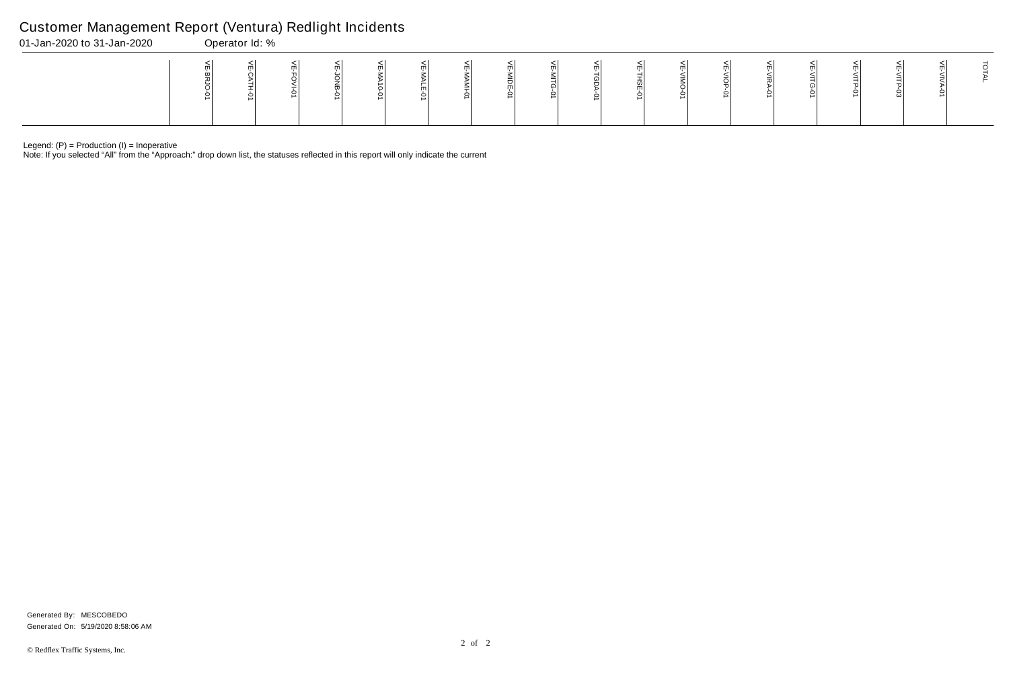Legend: (P) = Production (I) = Inoperative

Note: If you selected "All" from the "Approach:" drop down list, the statuses reflected in this report will only indicate the current

## Customer Management Report (Ventura) Redlight Incidents

| 01-Jan-2020 to 31-Jan-2020 | Operator Id: % |  |  |  |  |  |  |  |  |  |   |  |  |  |  |  |  |  |  |  |
|----------------------------|----------------|--|--|--|--|--|--|--|--|--|---|--|--|--|--|--|--|--|--|--|
|                            |                |  |  |  |  |  |  |  |  |  | ∸ |  |  |  |  |  |  |  |  |  |

Generated On: 5/19/2020 8:58:06 AM Generated By: MESCOBEDO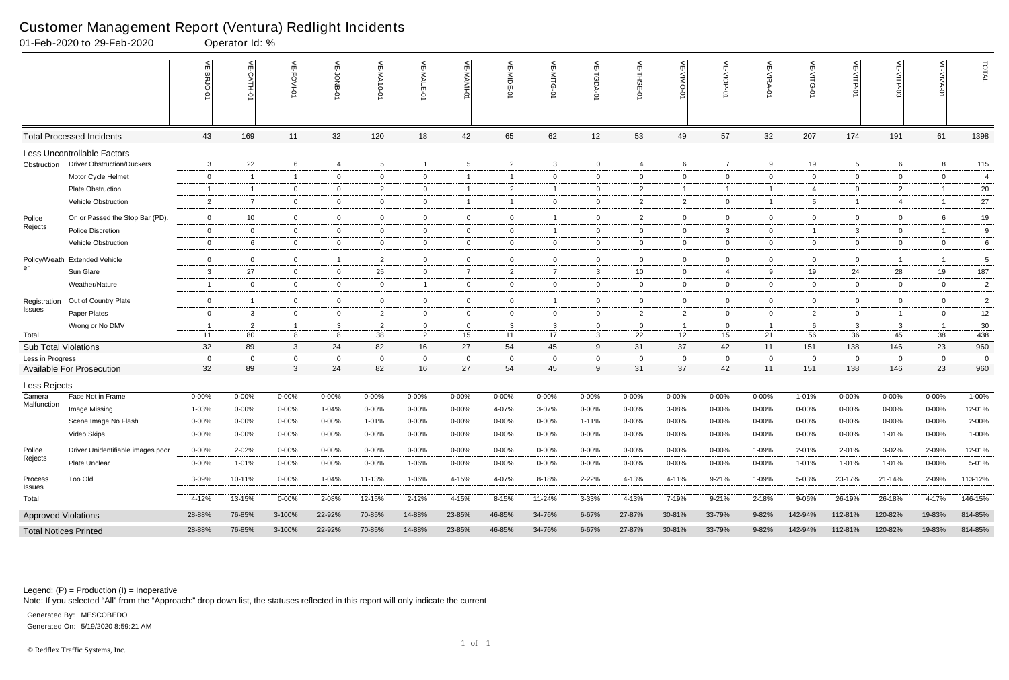Legend: (P) = Production (I) = Inoperative

Note: If you selected "All" from the "Approach:" drop down list, the statuses reflected in this report will only indicate the current

| 01-Feb-2020 to 29-Feb-2020   |                                   |                | Operator Id: % |                  |                |                |                |                 |                |                |                         |                                            |                |                |                |                |                 |                |                |                  |
|------------------------------|-----------------------------------|----------------|----------------|------------------|----------------|----------------|----------------|-----------------|----------------|----------------|-------------------------|--------------------------------------------|----------------|----------------|----------------|----------------|-----------------|----------------|----------------|------------------|
|                              |                                   | VE-BRJO-<br>Q  |                | <b>VE-FOVI-0</b> | VE-JONB-01     | VE-MA10-0      | VE-MALE-01     | VE-MAMI-01      | VE-MIDE-01     | VE-MITG<br>ò   | $\mathrel{\widehat{=}}$ | $\widetilde{\mathbb{F}}$<br>$\overline{5}$ | VE-VIMO-0      | VE-VIOP-01     | VE-VIRA-01     | VE-VITG-0      | VE-VITP-01      | VE-VITP-03     | VE-VIV         | TOTAL            |
|                              | <b>Total Processed Incidents</b>  | 43             | 169            | 11               | 32             | 120            | 18             | 42              | 65             | 62             | 12                      | 53                                         | 49             | 57             | 32             | 207            | 174             | 191            | 61             | 1398             |
|                              | Less Uncontrollable Factors       |                |                |                  |                |                |                |                 |                |                |                         |                                            |                |                |                |                |                 |                |                |                  |
| Obstruction                  | <b>Driver Obstruction/Duckers</b> | $\mathbf{3}$   | 22             | 6                | $\overline{4}$ | 5 <sup>5</sup> | $\overline{1}$ | $5\overline{)}$ | $\overline{2}$ | $\mathbf{3}$   | $\mathbf 0$             | $\overline{4}$                             | 6              | $\overline{7}$ | 9              | 19             | $5\overline{)}$ | 6              | 8              | $\overline{115}$ |
|                              | Motor Cycle Helmet                | $\mathbf{0}$   | -1             | $\overline{1}$   | $\mathbf 0$    | $\overline{0}$ | $\mathbf{0}$   | $\overline{1}$  |                | $\overline{0}$ | $\mathbf{0}$            | $\mathbf 0$                                | $\overline{0}$ | $\overline{0}$ | $\overline{0}$ | $\mathbf{0}$   | $\overline{0}$  | $\Omega$       | $\overline{0}$ | 4                |
|                              | <b>Plate Obstruction</b>          | - 1            | $\overline{1}$ | $\overline{0}$   | $\mathbf 0$    | $\overline{2}$ | $\overline{0}$ | $\overline{1}$  | $\overline{2}$ | $\overline{1}$ | $\mathbf 0$             | 2                                          | $\mathbf{1}$   | $\overline{1}$ | -1             | $\overline{4}$ | $\overline{0}$  | $\overline{2}$ |                | 20               |
|                              | Vehicle Obstruction               | $\overline{2}$ | $\overline{7}$ | $\overline{0}$   | $\mathbf 0$    | $\overline{0}$ | $\mathbf{0}$   | $\overline{1}$  |                | $\overline{0}$ | $\mathbf 0$             | $\overline{2}$                             | $\overline{2}$ | $\mathbf 0$    | -1             | $5^{\circ}$    | $\mathbf{1}$    | $\overline{4}$ |                | 27               |
| Police                       | On or Passed the Stop Bar (PD).   | $\mathbf 0$    | 10             | $\overline{0}$   | $\mathbf 0$    | $\mathbf 0$    | $\overline{0}$ | $\mathbf 0$     | $\overline{0}$ | -1             | $\mathbf 0$             | 2                                          | $\overline{0}$ | $\mathbf 0$    | $\overline{0}$ | $\overline{0}$ | $\overline{0}$  | $\Omega$       | 6              | 19               |
| Rejects                      | <b>Police Discretion</b>          | $\mathbf{0}$   | $\overline{0}$ | $\overline{0}$   | $\mathbf{0}$   | $\overline{0}$ | $\overline{0}$ | $\overline{0}$  | $\mathbf 0$    | $\overline{1}$ | $\mathbf{0}$            | $\overline{0}$                             | $\overline{0}$ | $\mathbf{3}$   | $\overline{0}$ |                | $\mathbf{3}$    | $\mathbf 0$    |                | 9                |
|                              | Vehicle Obstruction               | $\mathbf{0}$   | 6              | $\overline{0}$   | $\mathbf 0$    | $\overline{0}$ | $\overline{0}$ | $\overline{0}$  | $\overline{0}$ | $\overline{0}$ | $\mathbf 0$             | $\overline{0}$                             | $\overline{0}$ | $\overline{0}$ | $\overline{0}$ | $\overline{0}$ | $\overline{0}$  | $\overline{0}$ | $\overline{0}$ | 6                |
|                              | Policy/Weath Extended Vehicle     | $\overline{0}$ | $\overline{0}$ | $\Omega$         | $\overline{1}$ | $\overline{2}$ | $\overline{0}$ | $\mathbf 0$     | $\mathbf 0$    | $\overline{0}$ | 0                       | $\overline{0}$                             | $\overline{0}$ | $\mathbf 0$    | $\overline{0}$ | $\overline{0}$ | $\overline{0}$  | -1             |                | $\mathbf 5$      |
| er                           | Sun Glare                         | $\mathbf{3}$   | 27             | $\overline{0}$   | $\mathbf 0$    | 25             | $\overline{0}$ | $\overline{7}$  | $\overline{2}$ | $\overline{7}$ | 3                       | 10                                         | $\overline{0}$ | $\overline{4}$ | 9              | 19             | 24              | 28             | 19             | 187              |
|                              | Weather/Nature                    | - 1            | $\overline{0}$ | $\overline{0}$   | $\mathbf 0$    | $\overline{0}$ | $\mathbf{1}$   | $\overline{0}$  | $\overline{0}$ | $\overline{0}$ | $\overline{0}$          | $\overline{0}$                             | $\overline{0}$ | $\overline{0}$ | $\overline{0}$ | $\overline{0}$ | $\overline{0}$  | $\overline{0}$ | $\overline{0}$ | $\overline{2}$   |
| Registration                 | Out of Country Plate              | $\mathbf 0$    | -1             | 0                | $\mathbf 0$    | $\mathbf{0}$   | $\overline{0}$ | $\mathbf 0$     | $\mathbf 0$    | $\overline{1}$ | 0                       | $\mathbf 0$                                | $\overline{0}$ | $\mathbf 0$    | $\overline{0}$ | $\overline{0}$ | $\overline{0}$  | $\mathbf 0$    | $\overline{0}$ | $\overline{2}$   |
| Issues                       | Paper Plates                      | $\mathbf 0$    | 3              | $\overline{0}$   | $\mathbf 0$    | $\overline{2}$ | $\overline{0}$ | $\mathbf 0$     | $\mathbf 0$    | $\mathbf 0$    | $\mathbf 0$             | 2                                          | $\overline{2}$ | $\overline{0}$ | $\overline{0}$ | $\overline{2}$ | $\overline{0}$  | $\overline{1}$ | $\overline{0}$ | 12               |
|                              | Wrong or No DMV                   |                | 2              | $\overline{1}$   | $\mathbf{3}$   | $\overline{2}$ | $\overline{0}$ | $\mathbf{0}$    | 3              | 3              | $\mathbf{0}$            | $\overline{0}$                             | $\overline{1}$ | $\overline{0}$ | - 1            | 6              | $\mathbf{3}$    | $\mathbf{3}$   |                | 30               |
| Total                        |                                   | 11             | 80             | 8                | 8              | 38             | $\overline{2}$ | 15              | 11             | 17             | $\mathbf{3}$            | 22                                         | 12             | 15             | 21             | 56             | 36              | 45             | 38             | 438              |
| <b>Sub Total Violations</b>  |                                   | 32             | 89             | 3                | 24             | 82             | 16             | 27              | 54             | 45             | 9                       | 31                                         | 37             | 42             | 11             | 151            | 138             | 146            | 23             | 960              |
| Less in Progress             |                                   | $\overline{0}$ | 0              | $\Omega$         | 0              | $\mathbf 0$    | $\mathbf 0$    | $\mathbf 0$     |                | $\Omega$       | $\mathbf 0$             | $\mathbf 0$                                | $\mathbf 0$    | $\mathbf 0$    | $\overline{0}$ | 0              | $\mathbf 0$     | $\Omega$       | $\mathbf 0$    | 0                |
|                              | <b>Available For Prosecution</b>  | 32             | 89             | 3                | 24             | 82             | 16             | 27              | 54             | 45             | 9                       | 31                                         | 37             | 42             | 11             | 151            | 138             | 146            | 23             | 960              |
| Less Rejects                 |                                   |                |                |                  |                |                |                |                 |                |                |                         |                                            |                |                |                |                |                 |                |                |                  |
| Camera                       | Face Not in Frame                 | $0 - 00%$      | 0-00%          | $0 - 00\%$       | 0-00%          | $0 - 00%$      | $0 - 00%$      | 0-00%           | 0-00%          | $0 - 00%$      | $0 - 00%$               | $0 - 00%$                                  | $0 - 00%$      | $0 - 00\%$     | $0 - 00%$      | 1-01%          | $0 - 00%$       | $0 - 00%$      | $0 - 00%$      | 1-00%            |
| Malfunction                  | Image Missing                     | 1-03%          | $0 - 00%$      | 0-00%            | 1-04%          | $0 - 00%$      | $0 - 00%$      | $0 - 00%$       | 4-07%          | 3-07%          | 0-00%                   | $0 - 00%$                                  | 3-08%          | 0-00%          | $0 - 00%$      | $0 - 00%$      | $0 - 00%$       | $0 - 00%$      | $0 - 00\%$     | 12-01%           |
|                              | Scene Image No Flash              | $0 - 00%$      | 0-00%          | $0 - 00\%$       | 0-00%          | 1-01%          | $0 - 00\%$     | $0 - 00\%$      | $0 - 00%$      | $0 - 00\%$     | $1 - 11%$               | 0-00%                                      | $0 - 00\%$     | $0 - 00%$      | 0-00%          | $0 - 00%$      | $0 - 00%$       | $0 - 00%$      | $0 - 00\%$     | 2-00%            |
|                              | Video Skips                       | $0 - 00%$      | $0 - 00%$      | $0 - 00\%$       | $0 - 00%$      | $0 - 00%$      | $0 - 00%$      | $0 - 00%$       | $0 - 00%$      | $0 - 00\%$     | $0 - 00\%$              | 0-00%                                      | $0 - 00%$      | $0 - 00\%$     | $0 - 00%$      | 0-00%          | $0 - 00\%$      | 1-01%          | $0 - 00\%$     | 1-00%            |
| Police                       | Driver Unidentifiable images poor | $0 - 00%$      | 2-02%          | $0 - 00%$        | $0 - 00\%$     | $0 - 00%$      | $0 - 00%$      | $0 - 00%$       | 0-00%          | $0 - 00\%$     | $0 - 00\%$              | 0-00%                                      | $0 - 00%$      | $0 - 00\%$     | 1-09%          | 2-01%          | 2-01%           | 3-02%          | 2-09%          | 12-01%           |
| Rejects                      | <b>Plate Unclear</b>              | $0 - 00%$      | 1-01%          | $0 - 00\%$       | $0 - 00\%$     | $0 - 00%$      | 1-06%          | $0 - 00\%$      | $0 - 00\%$     | $0 - 00\%$     | $0 - 00\%$              | $0 - 00\%$                                 | $0 - 00\%$     | $0 - 00\%$     | $0 - 00%$      | 1-01%          | 1-01%           | 1-01%          | $0 - 00\%$     | 5-01%            |
| Process<br><b>Issues</b>     | Too Old                           | 3-09%          | 10-11%         | $0 - 00\%$       | 1-04%          | 11-13%         | 1-06%          | 4-15%           | 4-07%          | 8-18%          | 2-22%                   | 4-13%                                      | 4-11%          | 9-21%          | 1-09%          | 5-03%          | 23-17%          | 21-14%         | 2-09%          | 113-12%          |
| Total                        |                                   | 4-12%          | 13-15%         | $0 - 00\%$       | 2-08%          | 12-15%         | $2 - 12%$      | 4-15%           | 8-15%          | 11-24%         | 3-33%                   | 4-13%                                      | 7-19%          | $9 - 21%$      | 2-18%          | 9-06%          | 26-19%          | 26-18%         | 4-17%          | 146-15%          |
| <b>Approved Violations</b>   |                                   | 28-88%         | 76-85%         | 3-100%           | 22-92%         | 70-85%         | 14-88%         | 23-85%          | 46-85%         | 34-76%         | 6-67%                   | 27-87%                                     | 30-81%         | 33-79%         | $9 - 82%$      | 142-94%        | 112-81%         | 120-82%        | 19-83%         | 814-85%          |
| <b>Total Notices Printed</b> |                                   | 28-88%         | 76-85%         | 3-100%           | 22-92%         | 70-85%         | 14-88%         | 23-85%          | 46-85%         | 34-76%         | 6-67%                   | 27-87%                                     | 30-81%         | 33-79%         | 9-82%          | 142-94%        | 112-81%         | 120-82%        | 19-83%         | 814-85%          |

### Customer Management Report (Ventura) Redlight Incidents

Generated On: 5/19/2020 8:59:21 AM

Generated By: MESCOBEDO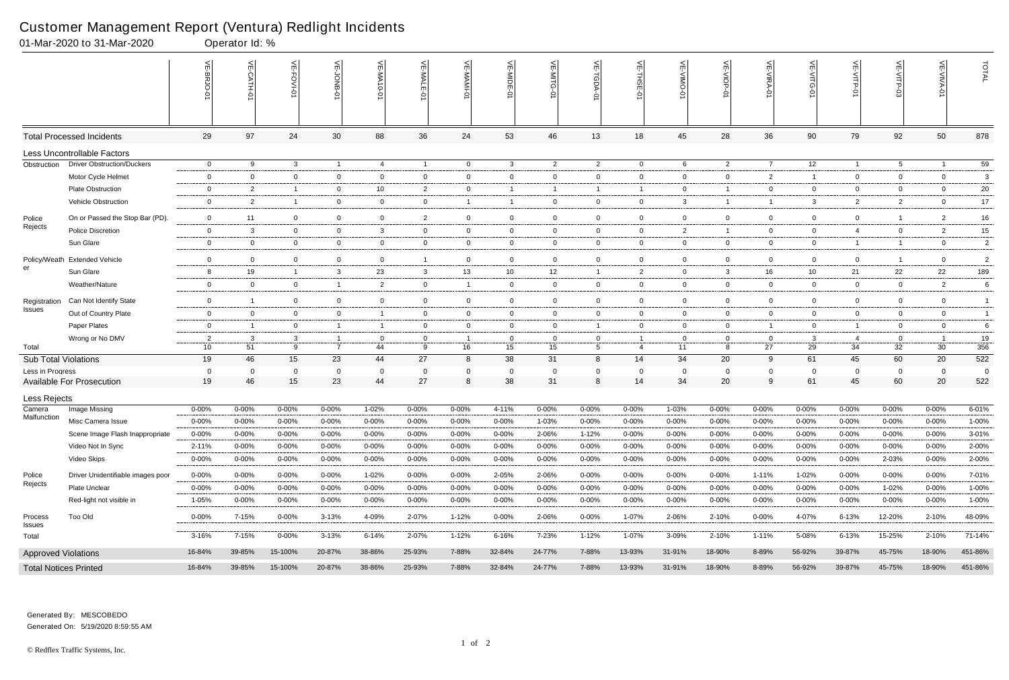#### Customer Management Report (Ventura) Redlight Incidents

|                              | 01-Mar-2020 to 31-Mar-2020        | Operator Id: %       |                |                   |                   |                |                |                  |                      |                |                           |                |                     |                |                |                   |                |                   |                   |                |
|------------------------------|-----------------------------------|----------------------|----------------|-------------------|-------------------|----------------|----------------|------------------|----------------------|----------------|---------------------------|----------------|---------------------|----------------|----------------|-------------------|----------------|-------------------|-------------------|----------------|
|                              |                                   |                      | $\leq$         | 닞<br>FOVI-01      |                   | VE-MA10-01     | 븻<br>-MALE     | VE-MAMI-0        | VE-MIDE-01           | VE-MITG-01     | $\widetilde{E}$<br>TGDA-0 | 븻<br>THSE-01   | ے<br>$\overline{5}$ | VE-VIOP<br>Ò   | VE-VIRA-01     | VE-VITG-01        | VE-VITP-01     | VE-VITP-03        | $\leq$            | TOTAL          |
|                              | <b>Total Processed Incidents</b>  | 29                   | 97             | 24                | 30                | 88             | 36             | 24               | 53                   | 46             | 13                        | 18             | 45                  | 28             | 36             | 90                | 79             | 92                | 50                | 878            |
|                              | Less Uncontrollable Factors       |                      |                |                   |                   |                |                |                  |                      |                |                           |                |                     |                |                |                   |                |                   |                   |                |
| Obstruction                  | <b>Driver Obstruction/Duckers</b> | $\overline{0}$       | 9              | 3                 | $\overline{1}$    | -4             | $\overline{1}$ | $\overline{0}$   | $\mathbf{3}$         | $\overline{2}$ | $\overline{2}$            | $\overline{0}$ | 6                   | $\overline{2}$ | $\overline{7}$ | 12                | $\mathbf{1}$   | $5\overline{)}$   | $\overline{1}$    | 59             |
|                              | Motor Cycle Helmet                | $\overline{0}$       | $\mathbf 0$    | $\overline{0}$    | $\mathbf 0$       | $\mathbf 0$    | $\mathbf 0$    | $\mathbf 0$      | $\overline{0}$       | $\overline{0}$ | $\overline{0}$            | $\overline{0}$ | 0                   | $\mathbf{0}$   | $\overline{2}$ |                   | $\overline{0}$ | $\overline{0}$    | $\mathbf 0$       | 3              |
|                              | <b>Plate Obstruction</b>          | $\overline{0}$       | $\overline{2}$ | -1                | $\overline{0}$    | 10             | $\overline{2}$ | $\mathbf 0$      | -1                   | -1             | $\overline{1}$            | $\overline{1}$ | 0                   | $\overline{1}$ | 0              | $\mathbf 0$       | $\mathbf 0$    | $\mathbf 0$       | $\mathbf 0$       | 20             |
|                              | Vehicle Obstruction               | $\overline{0}$       | 2              |                   | $\mathbf 0$       | $\mathbf 0$    | $\overline{0}$ | $\overline{1}$   |                      | $\overline{0}$ | $\overline{0}$            | $\mathbf 0$    | 3                   | $\overline{1}$ |                | 3                 | $\overline{2}$ | $\overline{2}$    | $\overline{0}$    | $17\,$         |
| Police                       | On or Passed the Stop Bar (PD).   | $\overline{0}$       | 11             | $\mathbf 0$       | $\overline{0}$    | $\mathbf 0$    | $\overline{2}$ | $\overline{0}$   | $\overline{0}$       | $\mathbf 0$    | $\overline{0}$            | $\mathbf 0$    | $\mathbf 0$         | $\mathbf 0$    | $\mathbf 0$    | $\mathbf 0$       | $\mathbf 0$    | $\overline{1}$    | $\overline{c}$    | $16\,$         |
| Rejects                      | Police Discretion                 | $\overline{0}$       | 3              | $\mathbf 0$       | $\overline{0}$    | -3             | $\mathbf 0$    | $\overline{0}$   | $\overline{0}$       | $\mathbf{0}$   | $\mathbf{0}$              | $\mathbf 0$    | $\mathbf{2}$        | $\overline{1}$ | $\mathbf 0$    | $\overline{0}$    | $\overline{4}$ | $\mathbf 0$       | $\overline{2}$    | 15             |
|                              | Sun Glare                         | $\bf{0}$             | $\mathbf 0$    | $\overline{0}$    | $\mathbf 0$       | $\mathbf 0$    | $\mathbf 0$    | $\mathbf 0$      | $\overline{0}$       | $\overline{0}$ | $\overline{0}$            | $\mathbf 0$    | $\mathbf 0$         | $\overline{0}$ | $\mathbf 0$    | $\mathbf 0$       | $\mathbf{1}$   | $\overline{1}$    | $\mathbf 0$       | $\overline{c}$ |
| Policy/Weath                 | <b>Extended Vehicle</b>           | $\mathbf 0$          | $\mathbf 0$    | $\mathbf 0$       | $\overline{0}$    | $\overline{0}$ | -1             | $\mathbf 0$      | $\overline{0}$       | $\mathbf 0$    | $\mathbf 0$               | $\mathbf 0$    | $\mathbf 0$         | $\mathbf 0$    | $\mathbf 0$    | $\mathbf 0$       | $\overline{0}$ | $\overline{1}$    | $\mathbf 0$       | $\overline{c}$ |
| er                           | Sun Glare                         | 8                    | 19             | $\mathbf{1}$      | $\mathbf{3}$      | 23             | $\mathbf{3}$   | 13               | 10                   | 12             | $\overline{1}$            | $\overline{2}$ | 0                   | $\mathbf{3}$   | 16             | 10                | 21             | 22                | 22                | 189            |
|                              | Weather/Nature                    | $\mathbf 0$          | $\overline{0}$ | $\overline{0}$    | $\overline{1}$    | $\overline{2}$ | $\overline{0}$ | $\overline{1}$   | $\overline{0}$       | $\overline{0}$ | $\overline{0}$            | $\overline{0}$ | 0                   | $\overline{0}$ | $\mathbf 0$    | $\overline{0}$    | $\overline{0}$ | $\overline{0}$    | $\overline{2}$    | 6              |
| Registration<br>Issues       | Can Not Identify State            | $\overline{0}$       | -1             | $\mathbf 0$       | $\mathbf 0$       | $\overline{0}$ | $\mathbf 0$    | $\mathbf 0$      | $\overline{0}$       | $\overline{0}$ | $\overline{0}$            | $\mathbf 0$    | 0                   | $\mathbf 0$    | $\mathbf 0$    | $\mathbf 0$       | $\mathbf 0$    | 0                 | $\mathbf 0$       | $\overline{1}$ |
|                              | Out of Country Plate              | $\overline{0}$       | $\mathbf 0$    | $\overline{0}$    | $\mathbf 0$       |                | $\mathbf 0$    | $\mathbf 0$      | $\overline{0}$       | $\overline{0}$ | $\overline{0}$            | $\mathbf 0$    | 0                   | $\overline{0}$ | $\mathbf 0$    | $\overline{0}$    | $\mathbf 0$    | $\overline{0}$    | $\overline{0}$    | $\overline{1}$ |
|                              | Paper Plates                      | $\overline{0}$       | $\overline{1}$ | $\overline{0}$    | $\overline{1}$    | - 1            | $\mathbf 0$    | $\overline{0}$   | $\overline{0}$       | $\overline{0}$ | $\overline{1}$            | $\mathbf 0$    | 0                   | $\mathbf{0}$   |                | $\overline{0}$    | $\overline{1}$ | $\overline{0}$    | $\overline{0}$    | 6              |
|                              | Wrong or No DMV                   | $\overline{2}$       | -3             | 3                 | $\overline{1}$    | - 0            | $\mathbf 0$    | $\overline{1}$   | $\overline{0}$       | 0              | $\mathbf{0}$              |                |                     | $\mathbf{0}$   | 0              | 3                 | $\overline{4}$ | $\mathbf 0$       |                   | $19$           |
| Total                        |                                   | 10                   | 51             | 9                 | $\overline{7}$    | 44             | 9              | 16               | 15                   | 15             | 5                         | $\overline{4}$ | 11                  | 8              | 27             | 29                | 34             | 32                | 30                | 356            |
| <b>Sub Total Violations</b>  |                                   | 19                   | 46             | 15                | 23                | 44             | 27             | 8                | 38                   | 31             | 8                         | 14             | 34                  | 20             | 9              | 61                | 45             | 60                | 20                | 522            |
| Less in Progress             | <b>Available For Prosecution</b>  | $\overline{0}$<br>19 | 0<br>46        | $\mathbf 0$<br>15 | $\mathbf 0$<br>23 | 0<br>44        | 0<br>27        | $\mathbf 0$<br>8 | $\overline{0}$<br>38 | 0<br>31        | 0<br>8                    | - 0<br>14      | $\Omega$<br>34      | 0<br>20        | $\Omega$<br>9  | $\mathbf 0$<br>61 | 0<br>45        | $\mathbf 0$<br>60 | $\mathbf 0$<br>20 | 0<br>522       |
|                              |                                   |                      |                |                   |                   |                |                |                  |                      |                |                           |                |                     |                |                |                   |                |                   |                   |                |
| Less Rejects<br>Camera       | Image Missing                     | $0 - 00%$            | $0 - 00%$      | $0 - 00%$         | $0 - 00%$         | 1-02%          | $0 - 00\%$     | $0 - 00%$        | 4-11%                | $0 - 00%$      | $0 - 00\%$                | $0 - 00%$      | 1-03%               | $0 - 00%$      | $0 - 00%$      | 0-00%             | $0 - 00%$      | 0-00%             | $0 - 00%$         | 6-01%          |
| Malfunction                  | Misc Camera Issue                 | $0 - 00%$            | 0-00%          | $0 - 00%$         | $0 - 00%$         | $0 - 00%$      | $0 - 00%$      | 0-00%            | $0 - 00%$            | 1-03%          | $0 - 00%$                 | $0 - 00\%$     | 0-00%               | $0 - 00%$      | $0 - 00\%$     | $0 - 00%$         | $0 - 00%$      | $0 - 00\%$        | $0 - 00%$         | 1-00%          |
|                              | Scene Image Flash Inappropriate   | 0-00%                | 0-00%          | $0 - 00%$         | $0 - 00%$         | 0-00%          | $0 - 00%$      | 0-00%            | 0-00%                | 2-06%          | $1 - 12%$                 | $0 - 00%$      | 0-00%               | $0 - 00%$      | $0 - 00%$      | $0 - 00%$         | $0 - 00%$      | 0-00%             | $0 - 00%$         | 3-01%          |
|                              | Video Not In Sync                 | 2-11%                | 0-00%          | $0 - 00%$         | $0 - 00\%$        | $0 - 00%$      | $0 - 00\%$     | $0 - 00\%$       | 0-00%                | $0 - 00%$      | $0 - 00\%$                | $0 - 00%$      | 0-00%               | $0 - 00\%$     | 0-00%          | $0 - 00%$         | $0 - 00%$      | $0 - 00\%$        | 0-00%             | 2-00%          |
|                              | Video Skips                       | $0 - 00%$            | $0 - 00%$      | 0-00%             | $0 - 00\%$        | $0 - 00%$      | $0 - 00\%$     | $0 - 00\%$       | $0 - 00%$            | $0 - 00%$      | $0 - 00\%$                | $0 - 00%$      | 0-00%               | 0-00%          | 0-00%          | 0-00%             | $0 - 00%$      | 2-03%             | $0 - 00%$         | 2-00%          |
| Police                       | Driver Unidentifiable images poor | 0-00%                | $0 - 00%$      | $0 - 00%$         | $0 - 00%$         | 1-02%          | $0 - 00%$      | $0 - 00\%$       | 2-05%                | 2-06%          | $0 - 00\%$                | $0 - 00%$      | 0-00%               | $0 - 00\%$     | $1 - 11%$      | 1-02%             | $0 - 00%$      | $0 - 00%$         | $0 - 00\%$        | 7-01%          |
| Rejects                      | Plate Unclear                     | $0 - 00%$            | 0-00%          | $0 - 00\%$        | $0 - 00\%$        | $0 - 00%$      | $0 - 00%$      | 0-00%            | 0-00%                | 0-00%          | $0 - 00\%$                | $0 - 00%$      | 0-00%               | $0 - 00\%$     | 0-00%          | $0 - 00%$         | $0 - 00%$      | 1-02%             | $0 - 00%$         | 1-00%          |
|                              | Red-light not visible in          | 1-05%                | $0 - 00%$      | 0-00%             | $0 - 00\%$        | $0 - 00%$      | 0-00%          | 0-00%            | $0 - 00%$            | $0 - 00%$      | 0-00%                     | $0 - 00%$      | 0-00%               | 0-00%          | 0-00%          | 0-00%             | $0 - 00%$      | 0-00%             | $0 - 00%$         | 1-00%          |
| Process<br>Issues            | Too Old                           | $0 - 00%$            | 7-15%          | $0 - 00\%$        | $3 - 13%$         | 4-09%          | 2-07%          | $1 - 12%$        | $0 - 00%$            | 2-06%          | $0 - 00\%$                | 1-07%          | 2-06%               | 2-10%          | $0 - 00\%$     | 4-07%             | $6 - 13%$      | 12-20%            | 2-10%             | 48-09%         |
| Total                        |                                   | 3-16%                | 7-15%          | $0 - 00\%$        | $3 - 13%$         | $6 - 14%$      | 2-07%          | $1 - 12%$        | 6-16%                | 7-23%          | $1 - 12%$                 | 1-07%          | 3-09%               | 2-10%          | $1 - 11%$      | 5-08%             | $6 - 13%$      | 15-25%            | 2-10%             | 71-14%         |
| <b>Approved Violations</b>   |                                   | 16-84%               | 39-85%         | 15-100%           | 20-87%            | 38-86%         | 25-93%         | 7-88%            | 32-84%               | 24-77%         | 7-88%                     | 13-93%         | 31-91%              | 18-90%         | 8-89%          | 56-92%            | 39-87%         | 45-75%            | 18-90%            | 451-86%        |
| <b>Total Notices Printed</b> |                                   | 16-84%               | 39-85%         | 15-100%           | 20-87%            | 38-86%         | 25-93%         | 7-88%            | 32-84%               | 24-77%         | 7-88%                     | 13-93%         | 31-91%              | 18-90%         | 8-89%          | 56-92%            | 39-87%         | 45-75%            | 18-90%            | 451-86%        |

Generated On: 5/19/2020 8:59:55 AM Generated By: MESCOBEDO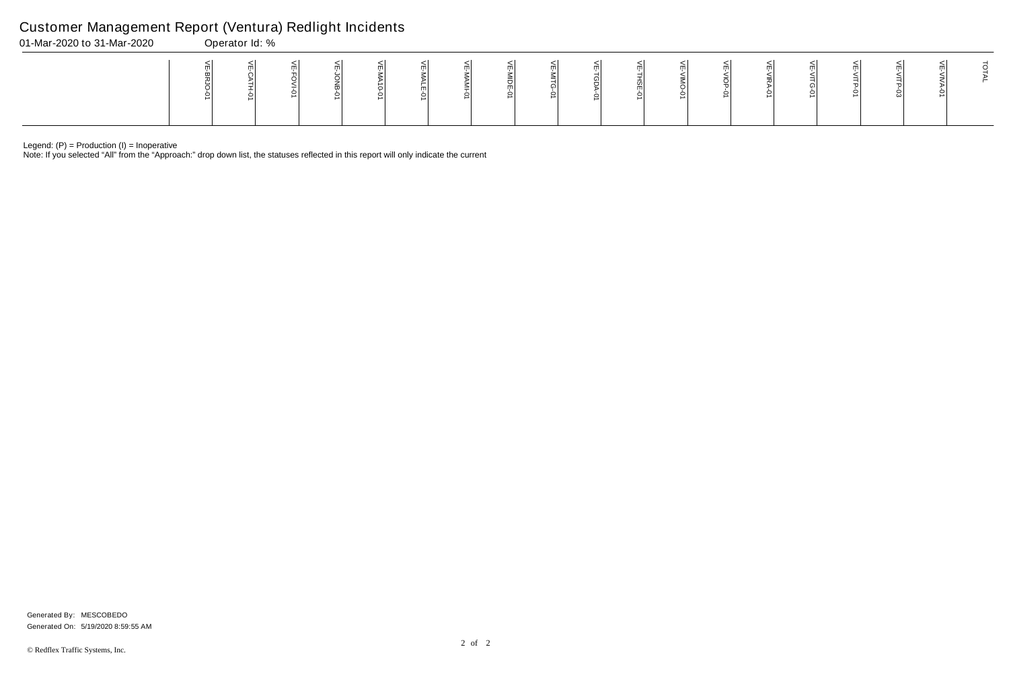Legend: (P) = Production (I) = Inoperative

Note: If you selected "All" from the "Approach:" drop down list, the statuses reflected in this report will only indicate the current

## Customer Management Report (Ventura) Redlight Incidents

| 01-Mar-2020 to 31-Mar-2020 | Operator Id: % |  |  |  |  |  |  |   |  |  |   |  |  |  |  |  |   |  |  |
|----------------------------|----------------|--|--|--|--|--|--|---|--|--|---|--|--|--|--|--|---|--|--|
|                            |                |  |  |  |  |  |  | ∸ |  |  | ∸ |  |  |  |  |  | ພ |  |  |

Generated On: 5/19/2020 8:59:55 AM Generated By: MESCOBEDO